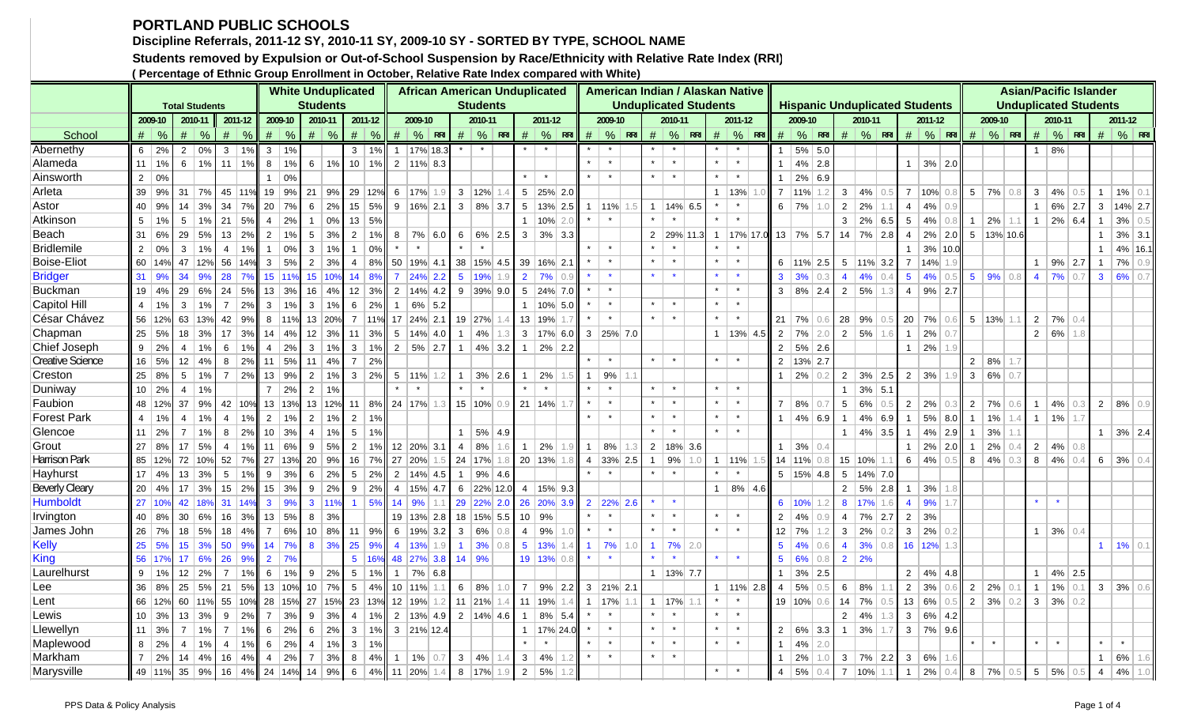## **PORTLAND PUBLIC SCHOOLS**

**Discipline Referrals, 2011-12 SY, 2010-11 SY, 2009-10 SY - SORTED BY TYPE, SCHOOL NAME**

**Students removed by Expulsion or Out-of-School Suspension by Race/Ethnicity with Relative Rate Index (RRI)**

**( Percentage of Ethnic Group Enrollment in October, Relative Rate Index compared with White)**

|                         |                |               |                       |               |                |               |                 |               |                  | <b>White Unduplicated</b> |                 |              |              |                        | <b>African American Unduplicated</b> |                |                        |            |                |                       |                  |                             |                 |     |                | American Indian / Alaskan Native |                |             |                |                       |           |                |                       |     |                 |                                       |               |                         |                        |     |                |                 |            | <b>Asian/Pacific Islander</b> |                       |     |
|-------------------------|----------------|---------------|-----------------------|---------------|----------------|---------------|-----------------|---------------|------------------|---------------------------|-----------------|--------------|--------------|------------------------|--------------------------------------|----------------|------------------------|------------|----------------|-----------------------|------------------|-----------------------------|-----------------|-----|----------------|----------------------------------|----------------|-------------|----------------|-----------------------|-----------|----------------|-----------------------|-----|-----------------|---------------------------------------|---------------|-------------------------|------------------------|-----|----------------|-----------------|------------|-------------------------------|-----------------------|-----|
|                         |                |               | <b>Total Students</b> |               |                |               |                 |               |                  | <b>Students</b>           |                 |              |              |                        |                                      |                | <b>Students</b>        |            |                |                       |                  |                             |                 |     |                | <b>Unduplicated Students</b>     |                |             |                |                       |           |                |                       |     |                 | <b>Hispanic Unduplicated Students</b> |               |                         |                        |     |                |                 |            | <b>Unduplicated Students</b>  |                       |     |
|                         |                | 2009-10       | 2010-11               |               |                | 2011-12       |                 | 2009-10       |                  | 2010-11                   |                 | 2011-12      |              | 2009-10                |                                      |                | 2010-11                |            |                | 2011-12               |                  |                             | 2009-10         |     |                | 2010-11                          |                | 2011-12     |                | 2009-10               |           |                | 2010-11               |     |                 | 2011-12                               |               |                         | 2009-10                |     |                | 2010-11         |            |                               | 2011-12               |     |
| School                  |                | $\#$ %        | #                     | $\frac{0}{6}$ |                | $\#$ %        |                 | $\#$ %        |                  | $\#$ %                    |                 | $\#$ %       |              |                        | $\#$ % RRI                           |                |                        | $\#$ % RRI |                |                       |                  | $\#$ $\%$ RRI $\#$ $\%$ RRI |                 |     |                | $\#$ % RRI                       |                | $\#$ % RRI  |                | $#  %$ RRI            |           |                |                       |     |                 | $\#$ % RRI $\#$ % RRI                 |               |                         | $\#$ % RRI             |     |                |                 | $\#$ % RRI |                               | $\#$ % RRI            |     |
| Abernethy               |                | $6 \mid 2\%$  | $\overline{2}$        | $\sqrt{0\%}$  | 3 <sup>1</sup> | 1%            | $\mathbf{3}$    | 1%            |                  |                           |                 | $3 \mid 1\%$ |              | 1   17% 18.3           |                                      |                |                        |            |                |                       |                  |                             |                 |     |                |                                  |                |             | 1              | $5\%$ 5.0             |           |                |                       |     |                 |                                       |               |                         |                        |     | 1              | 8%              |            |                               |                       |     |
| Alameda                 |                | $11$ 1%       | 6                     | 1%            |                | $11$   1%     | 8               | 1%            | 6                | 1%                        |                 |              |              | $10$ 1% 2 11% 8.3      |                                      |                |                        |            |                |                       |                  |                             | $\star$         |     | $\star$        |                                  |                | $\star$     |                | $4\%$ 2.8             |           |                |                       |     |                 | $1 \mid 3\% \mid 2.0$                 |               |                         |                        |     |                |                 |            |                               |                       |     |
| Ainsworth               |                | $2 \mid 0\%$  |                       |               |                |               | 1               | 0%            |                  |                           |                 |              |              |                        |                                      |                |                        |            |                |                       |                  |                             | $\star$         |     | $\star$        | $\star$                          |                | $\star$     | $\mathbf{1}$   | $2\%$ 6.9             |           |                |                       |     |                 |                                       |               |                         |                        |     |                |                 |            |                               |                       |     |
| Arleta                  |                | 39   9%       | 31                    | 7%            |                | 45 11%        | 19              | 9%            | 21               | 9%                        |                 | 29 12%       |              | $6 \mid 17\%$          |                                      |                | $3 \mid 12\%$          |            |                | $5$ 25% 2.0           |                  |                             |                 |     |                |                                  | $\overline{1}$ | 13%         |                | $7$ 11% 1.2           |           |                | $3 \mid 4\%$          | 0.5 |                 | $7 \mid 10\% \mid 0.8$                |               |                         | $5 \mid 7\% \mid 0.8$  |     | 3 <sup>1</sup> | 4%              | 0.5        |                               | $1 \mid 1\% $         | 0.1 |
| Astor                   | 40             | 9%            | 14                    | 3%            | $34$ 7%        |               | 20              | 7%            | 6                | 2%                        |                 | 15 5%        |              |                        | $9   16\%   2.1  $                   |                | $3   8\%   3.7$        |            |                |                       | $5$   13%   2.5  | $\mathbf{1}$                | $11\%$ 1.5      |     | $\mathbf{1}$   | $14\%$ 6.5                       |                |             |                | $6 \mid 7\%$          | 1.0       | $\overline{2}$ | 2%                    |     | $\overline{4}$  | 4%                                    | 0.9           |                         |                        |     | 1              | $6\%$ 2.7       |            |                               | $3   14\%   2.7$      |     |
| Atkinson                | 5 <sup>5</sup> | 1%            | 5                     | 1%            |                | $21 \mid 5\%$ | $\overline{4}$  | 2%            |                  | 0%                        |                 | 13   5%      |              |                        |                                      |                |                        |            |                | $1$   10%   2.0       |                  |                             |                 |     |                |                                  |                |             |                |                       |           |                | $3   2\%   6.5$       |     | $5\overline{)}$ | 4%                                    | 0.8           | $\mathbf{1}$            | 2%                     | 1.1 | 1              | $2\%$ 6.4       |            |                               | 3%                    | 0.5 |
| Beach                   |                | 31   6%       | 29                    | 5%            | 13             | 2%            | $\overline{2}$  | 1%            | 5                | 3%                        | $\overline{2}$  | 1%           |              |                        | $8   7\%   6.0$                      | 6              | $6\%$ 2.5              |            | $\mathbf{3}$   | $3\%$ 3.3             |                  |                             |                 |     | $\overline{2}$ | 29% 11.3                         | $\overline{1}$ | 17% 17.0    |                | $13   7\%   5.7$      |           |                | $14$ 7%               | 2.8 | $\overline{4}$  | $2\%$ 2.0                             |               |                         | $5$   13%   10.6       |     |                |                 |            | $\mathbf{1}$                  | $3\%$ 3.1             |     |
| <b>Bridlemile</b>       | 2              | 0%            | 3                     | 1%            | 4              | 1%            | $\mathbf{1}$    | 0%            | $\mathbf{3}$     | 1%                        | $\mathbf{1}$    | 0%           |              |                        |                                      |                |                        |            |                |                       |                  |                             |                 |     |                |                                  |                |             |                |                       |           |                |                       |     | $\mathbf{1}$    | 3% 10.0                               |               |                         |                        |     |                |                 |            |                               | 4% 16.1               |     |
| <b>Boise-Eliot</b>      |                | 60 14%        | 47 12%                |               |                | 56 14%        | $\mathbf{3}$    | 5%            | $\overline{2}$   | 3%                        | $\overline{4}$  | 8%           |              | 50 19% 4.1             |                                      |                | 38 15% 4.5             |            |                | $39$ 16% 2.1          |                  |                             |                 |     | $\star$        | $\star$                          | $\star$        | $\star$     |                | $6$   11%   2.5       |           |                | $5$   11% 3.2         |     | $\overline{7}$  | 14%                                   |               |                         |                        |     | 1              | $9\%$ 2.7       |            | $\overline{1}$                | 7%                    | 0.9 |
| <b>Bridger</b>          | 31   9%        |               | 34                    | 9%            | $28$ 7%        |               |                 | 15 11%        | 15 <sub>15</sub> | 10%                       | 14              | 8%           |              | 24%                    | 2.2                                  |                | 5 19%                  | 1.9        |                | $2 \mid 7\%$          | 0.9              |                             |                 |     |                |                                  |                |             |                | $3 \mid 3\% \mid 0.3$ |           |                | $4 \mid 4\%$          |     | 5 <sup>5</sup>  | 4%                                    | 0.5           |                         | $5 \t9\% \t0.8$        |     |                | $4$   7%   0.7  |            |                               | $3   6\%   0.7$       |     |
| Buckman                 |                | 19 4%         | 29                    | 6%            | 24             | 5%            | 13              | 3%            | 16               | 4%                        | 12              | 3%           |              | $2 \mid 14\% \mid 4.2$ |                                      |                | $9$ 39% 9.0            |            |                | $5$ 24% 7.0           |                  |                             | $\star$         |     |                |                                  | $\pmb{\ast}$   | $\star$     |                | $3   8\%   2.4$       |           |                | $2 \mid 5\%$          | 1.3 | $\overline{4}$  | $9\%$ 2.7                             |               |                         |                        |     |                |                 |            |                               |                       |     |
| <b>Capitol Hill</b>     | $\overline{4}$ | 1%            | 3                     | 1%            | $7^{\circ}$    | 2%            | 3 <sup>1</sup>  | $1\%$         | 3                | 1%                        | 6               | 2%           | 1            | 6% 5.2                 |                                      |                |                        |            |                | $1   10\%   5.0$      |                  |                             |                 |     |                |                                  |                |             |                |                       |           |                |                       |     |                 |                                       |               |                         |                        |     |                |                 |            |                               |                       |     |
| César Chávez            |                | 56 12%        | 63                    | 13%           | 42             | 9%            |                 | $8 \mid 11\%$ | 13               | 20%                       |                 |              |              | $7$ 11% 17 24% 2.1     |                                      |                | 19 27% 1.4             |            |                | 13   19%              |                  |                             | $\star$         |     | $\star$        | $\star$                          | $\star$        | $\star$     |                | $21$ 7% 0.6           |           | 28 9%          |                       | 0.5 | $20 \mid 7\%$   |                                       | $0.6^{\circ}$ |                         | $5 \mid 13\% \mid 1.1$ |     | 2              | 7% 0.4          |            |                               |                       |     |
| Chapman                 |                | 25 5%         | 18                    | 3%            |                | $17 \mid 3\%$ | 14              | 4%            | 12 <sup>°</sup>  | 3%                        | 11              | 3%           |              | $5$   14%   4.0        |                                      | $\mathbf{1}$   | $ 4\% 1.3$             |            |                |                       | $3   17\%   6.0$ |                             | $3$ 25% 7.0     |     |                |                                  | $\mathbf{1}$   | 13% 4.5     | 2 <sup>1</sup> | 7%                    | 2.0       |                | 2   5%                | 1.6 | $\overline{1}$  | $2\%$ 0.7                             |               |                         |                        |     |                | $2   6\%   1.8$ |            |                               |                       |     |
| Chief Joseph            |                | $9 \mid 2\%$  | $\overline{4}$        | 1%            | $6-1$          | 1%            | $\overline{4}$  | 2%            | $\mathbf{3}$     | 1%                        | 3 <sup>1</sup>  | 1%           |              | $2   5\%   2.7$        |                                      | $\overline{1}$ | $4\%$ 3.2              |            |                | $1 \mid 2\% \mid 2.2$ |                  |                             |                 |     |                |                                  |                |             | 2 <sup>1</sup> | $5\%$ 2.6             |           |                |                       |     | $1 \vert$       | 2%                                    |               |                         |                        |     |                |                 |            |                               |                       |     |
| <b>Creative Science</b> |                | 16 5%         | 12 <sup>2</sup>       | 4%            | 8 <sup>1</sup> | 2%            | 11              | 5%            | 11               | 4%                        | $\overline{7}$  | 2%           |              |                        |                                      |                |                        |            |                |                       |                  |                             |                 |     | $\star$        | $\star$                          | $\star$        | $\star$     |                | 2   13%   2.7         |           |                |                       |     |                 |                                       |               |                         | $2   8\%  $            | 1.7 |                |                 |            |                               |                       |     |
| Creston                 |                | 25 8%         | 5                     | 1%            |                | $7 \mid 2\%$  | 13              | 9%            | $\overline{2}$   | 1%                        |                 | $3 \mid 2\%$ |              | $5 \mid 11\% \mid 1.2$ |                                      | $\mathbf{1}$   | $3\%$ 2.6              |            | $\mathbf{1}$   | 2%                    |                  | $\mathbf{1}$                | 9%              |     |                |                                  |                |             |                | $2\%$ 0.2             |           |                | $2 \mid 3\% \mid 2.5$ |     |                 | $2 \mid 3\%$                          |               | $\overline{\mathbf{3}}$ | 6% 0.7                 |     |                |                 |            |                               |                       |     |
| Duniway                 |                | $10 \mid 2\%$ | $\overline{4}$        | 1%            |                |               | $7^{\circ}$     | 2%            | $\overline{2}$   | 1%                        |                 |              |              | $\star$                |                                      |                |                        |            |                |                       |                  |                             |                 |     | $\star$        |                                  | $\star$        | $\star$     |                |                       |           | $\overline{1}$ | $3\%$ 5.1             |     |                 |                                       |               |                         |                        |     |                |                 |            |                               |                       |     |
| Faubion                 |                | 48 12%        | 37                    | 9%            |                | 42 10%        |                 | 13 13%        | 13               | 12%                       |                 | 11   8%      |              | 24 17%                 |                                      |                | $15 10\% 0.9$          |            |                | $21 \,   \, 14\%$     |                  |                             |                 |     |                |                                  | $\star$        | $\star$     |                | $7   8\% $            | 0.7       | $5-1$          | 6%                    |     |                 | $2 \mid 2\%$                          | 0.3           | $\overline{2}$          | 7%                     | 0.6 | 1              | 4%              | 0.3        | $2   8\%  $                   |                       | 0.9 |
| <b>Forest Park</b>      | $\overline{4}$ | 1%            | $\overline{4}$        | 1%            | 4              | 1%            | $2^{\circ}$     | 1%            | 2                | 1%                        | $\overline{2}$  | 1%           |              |                        |                                      |                |                        |            |                |                       |                  |                             |                 |     |                |                                  |                | $\star$     | $\mathbf{1}$   | $4\%$ 6.9             |           | $\overline{1}$ | 4%                    | 6.9 | $\overline{1}$  | $5\%$ 8.0                             |               | $\overline{1}$          | 1%                     | 1.4 | 1              | 1%              | 1.7        |                               |                       |     |
| Glencoe                 |                | $11 \ 2%$     | $\overline{7}$        | 1%            | 8 <sup>1</sup> | 2%            | 10 <sup>1</sup> | 3%            | $\overline{4}$   | 1%                        | $5-1$           | 1%           |              |                        |                                      | $\mathbf{1}$   | 5% 4.9                 |            |                |                       |                  |                             |                 |     |                |                                  | $\star$        | $\star$     |                |                       |           |                | $1   4\%   3.5$       |     | $\overline{1}$  | 4%                                    | 2.9           | $\overline{1}$          | 3%                     | 1.1 |                |                 |            |                               | $1 \mid 3\% \mid 2.4$ |     |
| Grout                   |                | 27 8%         | 17                    | 5%            | 4              | 1%            | 11              | 6%            | 9                | 5%                        | 2               |              |              | 1% 12 20% 3.1          |                                      | $\overline{4}$ | 8%                     | 1.6        | $\mathbf{1}$   | $ 2\% $               |                  | $\mathbf{1}$                | 8%              | 1.3 |                | $2 \mid 18\% \mid 3.6$           |                |             |                | $1   3\%$             | 0.4       |                |                       |     | $\mathbf{1}$    | $2\%$ 2.0                             |               | $\overline{1}$          | $2\%$ 0.4              |     |                | $2   4\%   0.8$ |            |                               |                       |     |
| <b>Harrison Park</b>    |                | 85 12%        | 72                    | 10%           | $52$ 7%        |               | 27 13%          |               | 20               | 9%                        |                 | 16 7%        |              | 27 20%                 |                                      |                | $24$   17%   1.8       |            |                | 20 13%                | 1.8              |                             | $4$ 33% 2.5     |     |                | 9%                               | $\overline{1}$ | 11%         |                | 14 11% 0.             |           |                | 15 10%                |     |                 | $6 \mid 4\%$                          |               |                         | $8 \mid 4\%$           | 0.3 |                | $8   4\%  $     | 0.4        |                               | 6 3% 0.4              |     |
| Hayhurst                |                | $17 \mid 4\%$ | 13                    | 3%            | 5 <sup>1</sup> | 1%            | 9               | 3%            | 6                | 2%                        | $5\overline{)}$ | 2%           |              | $2 \mid 14\% \mid 4.5$ |                                      | $\mathbf{1}$   | $9\%$ 4.6              |            |                |                       |                  |                             |                 |     |                |                                  |                |             |                | $5$   15%   4.8       |           |                | $5$   14% 7.0         |     |                 |                                       |               |                         |                        |     |                |                 |            |                               |                       |     |
| <b>Beverly Cleary</b>   |                | $20$ 4%       | 17                    | 3%            |                | $15 \mid 2\%$ | 15              | 3%            | 9                | 2%                        | 9               | 2%           |              | 4 15% 4.7              |                                      |                |                        | 6 22% 12.0 |                | $4$   15%   9.3       |                  |                             |                 |     |                |                                  | $\overline{1}$ | $8\%$ 4.6   |                |                       |           | 2 <sup>1</sup> | 5% 2.8                |     | 1               | 3%                                    |               |                         |                        |     |                |                 |            |                               |                       |     |
| <b>Humboldt</b>         |                | 27 10%        | 42                    | 18%           |                | 31 14%        | 3 <sup>1</sup>  | 9%            | $\mathbf{3}$     | 11%                       | 1 <sup>1</sup>  | 5%           |              | $14$ 9%                | 1.1                                  |                |                        | 29 22% 2.0 |                |                       | 26 20% 3.9       |                             | 2 22% 2.6       |     |                | $\star$                          |                |             |                | $6$   10%   1.2       |           |                | 8 17%                 | 1.6 | $\overline{4}$  | 9%                                    | 1.7           |                         |                        |     | $\star$        | $\star$         |            |                               |                       |     |
| Irvington               |                | 40 8%         | 30                    | 6%            |                | 16 3%         |                 | 13 5%         | 8                | 3%                        |                 |              |              | 19   13%   2.8         |                                      |                | 18 15% 5.5             |            |                | 10   9%               |                  |                             |                 |     |                |                                  |                |             |                | 2   4%                | 0.9       |                | $4$ 7% 2.7            |     | 2               | 3%                                    |               |                         |                        |     |                |                 |            |                               |                       |     |
| James John              |                | 26 7%         | 18                    | 5%            |                | $18 \mid 4\%$ |                 | $7 \t6%$      | 10               | 8%                        | 11 <sup>1</sup> | 9%           |              | $6$   19%              | 3.2                                  | $\mathbf{3}$   | 6%                     | 0.8        | $\overline{4}$ | 9%                    |                  |                             |                 |     | $\star$        | $\star$                          | $\star$        | $\star$     |                | 12 7%                 | 1.2       |                | $3 \mid 2\%$          |     | 3 <sup>1</sup>  | 2%                                    | 0.2           |                         |                        |     | 1              | 3%              | 0.4        |                               |                       |     |
| <b>Kelly</b>            |                | 25 5%         | 15 <sub>15</sub>      | 3%            | 50             | 9%            | 14              | 7%            | 8                | 3%                        | 25              | 9%           |              | 4 13%                  | 1.9                                  | $\overline{1}$ | 3%                     | 0.8        |                | $5 \,   \, 13\%$      |                  | $\blacktriangleleft$        | 7%              | 1.0 |                | $7\%$ 2.0                        |                |             | $5^{\circ}$    | 4%                    | 0.6       |                | $4 \, 3\%$            | 0.8 |                 | 16 12% 1.3                            |               |                         |                        |     |                |                 |            |                               | $1   1\%   0.1$       |     |
| King                    |                | 56 17%        | 17 <sup>2</sup>       | 6%            | 26             | 9%            | 2 <sup>1</sup>  | 7%            |                  |                           |                 | 5 16%        |              | 48 27%                 | 3.8                                  | $14$ 9%        |                        |            |                | 19 13% 0.8            |                  | $\star$                     |                 |     | $\star$        |                                  | $\star$        | $\star$     | 5 <sup>1</sup> | 6%                    | 0.8       |                | $2 \mid 2\%$          |     |                 |                                       |               |                         |                        |     |                |                 |            |                               |                       |     |
| Laurelhurst             | 9              | 1%            | 12                    | 2%            | 7 <sup>1</sup> | 1%            | 6               | 1%            | 9                | 2%                        | $5^{\circ}$     | 1%           | 1            | 7% 6.8                 |                                      |                |                        |            |                |                       |                  |                             |                 |     | 1              | $ 13\% $ 7.7                     |                |             | $\mathbf{1}$   | $3\%$ 2.5             |           |                |                       |     | $2^{\circ}$     | $4\%$ 4.8                             |               |                         |                        |     |                | $4\%$ 2.5       |            |                               |                       |     |
| Lee                     |                | 36 8%         | 25                    | 5%            | 21             | 5%            | 13 <sup>1</sup> | 10%           | 10               | 7%                        | $5\overline{)}$ | 4%           |              | 10 11%                 |                                      |                | 6   8%                 | 1.0        |                |                       | $7   9\%   2.2 $ |                             | $3$   21%   2.1 |     |                |                                  | $\mathbf{1}$   | $ 11\% 2.8$ | $\overline{4}$ | 5%                    | $\bigcap$ |                | $6 \mid 8\%$          |     | 2               | 3%                                    | 0.6           | 2                       | 2%                     | 0.1 | $\mathbf{1}$   | 1%              | 0.1        |                               | $3 \mid 3\% \mid 0.6$ |     |
| Lent                    |                | 66 12%        | 60 11%                |               |                | 55 10%        |                 | 28 15%        | 27               | 15%                       |                 | 23 13%       |              | 12   19%               | 1.2                                  |                | 11 21% $1.4$           |            |                | 11   19%              | 1.4              | $\mathbf{1}$                | 17%             |     |                | 17%                              |                |             |                | 19 10% 0.6            |           |                | 14 7%                 | 0.5 |                 | 13 6%                                 | 0.5           |                         | $2 \mid 3\% \mid$      | 0.2 | 3 <sup>1</sup> | 3%              | 0.2        |                               |                       |     |
| Lewis                   |                | 10 3%         | 13                    | 3%            | 9 <sup>1</sup> | 2%            | $\overline{7}$  | 3%            | 9                | 3%                        | $\overline{4}$  | 1%           |              |                        | $2 \mid 13\% \mid 4.9$               |                | $2 \mid 14\% \mid 4.6$ |            | 1 <sup>1</sup> | 8% 5.4                |                  |                             |                 |     | $\star$        | $\star$                          | $\star$        | $\star$     |                |                       |           |                | $2 \mid 4\%$          | 1.3 | $\mathbf{3}$    | $6\%$ 4.2                             |               |                         |                        |     |                |                 |            |                               |                       |     |
| Llewellyn               |                | 11   3%       | $\overline{7}$        | 1%            | 7 <sup>1</sup> | 1%            | 6               | 2%            | 6                | 2%                        | $\mathbf{3}$    | 1%           |              | $3$ 21% 12.4           |                                      |                |                        |            |                |                       | 1 17% 24.0       |                             |                 |     |                | $\star$                          |                | $\star$     |                | $2   6\%   3.3$       |           |                | $1 \mid 3\%$          | 1.7 |                 | $3   7\%   9.6$                       |               |                         |                        |     |                |                 |            |                               |                       |     |
| Maplewood               |                | $8 \mid 2\%$  | $\overline{4}$        | 1%            | $\vert$ 4      | 1%            | $6\overline{6}$ | 2%            | $\overline{4}$   | 1%                        | $\mathbf{3}$    | 1%           |              |                        |                                      |                |                        |            |                |                       |                  |                             | $\star$         |     |                | $\star$                          | $\pmb{\ast}$   | $\star$     | 1              | 4%                    | 2.0       |                |                       |     |                 |                                       |               | $\star$                 |                        |     | $\star$        | $\star$         |            | $\star$                       | $\star$               |     |
| Markham                 | 7 <sup>1</sup> | 2%            | 14                    | $4\%$         |                | $16 \mid 4\%$ | $\overline{4}$  | 2%            | $\overline{7}$   | 3%                        | 8               | 4%           | $\mathbf{1}$ | 1%                     | 0.7                                  | $\mathbf{3}$   | 4%                     | 1.4        | $\mathbf{3}$   | 4%                    |                  |                             |                 |     |                | $\star$                          |                |             |                | 2%                    | 1.0       |                | $3 \mid 7\%$          | 2.2 | $3 \mid$        | 6%                                    |               |                         |                        |     |                |                 |            | $\mathbf{1}$                  | 6%                    | 1.6 |
| Marysville              |                | 49 11% 35 9%  |                       |               |                |               | 16 4% 24 14%    |               |                  | 14   9%                   | 6 <sup>1</sup>  |              |              |                        | 4% 11 20% 1.4                        |                | 8 17% 1.9              |            | 2              | 5%                    |                  |                             |                 |     |                |                                  | $\star$        | $\star$     | $\overline{4}$ | $5\%$ 0.4             |           |                | $7$ 10% 1.1           |     |                 | $1 \ 2\%$                             | 0.4           |                         | $8 \mid 7\%$           | 0.5 |                | $5   5\% $      | 0.5        | $\overline{4}$                | 4%                    |     |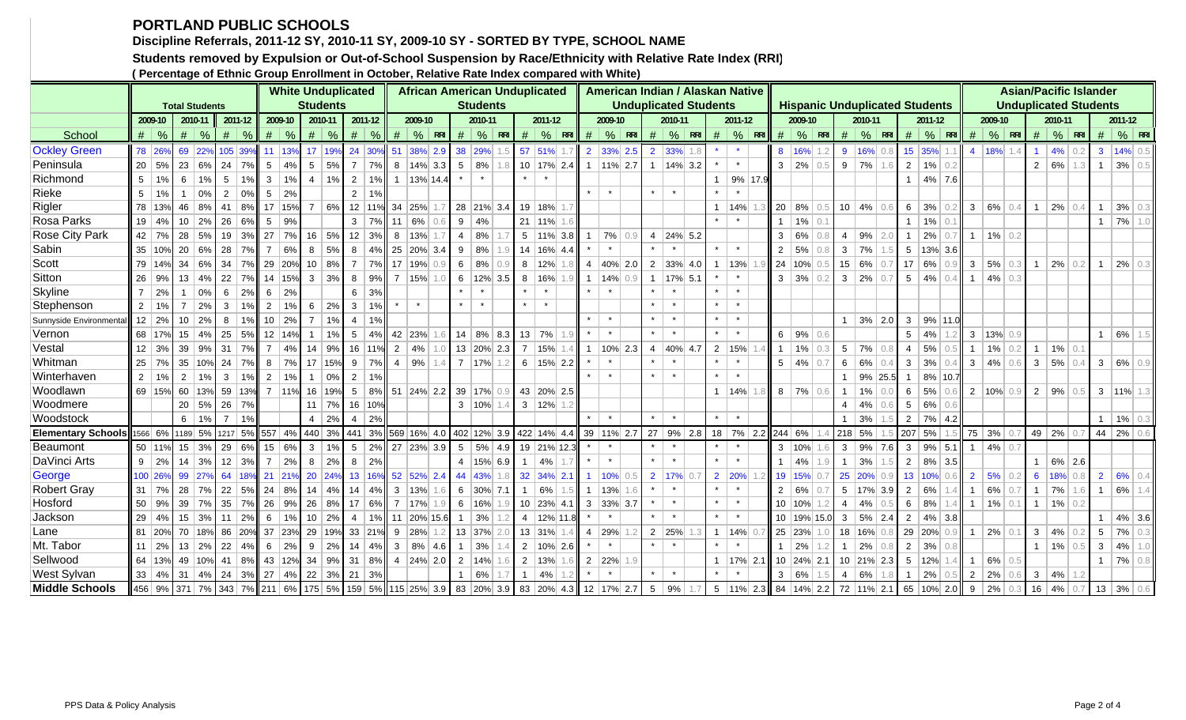## **PORTLAND PUBLIC SCHOOLS**

**Discipline Referrals, 2011-12 SY, 2010-11 SY, 2009-10 SY - SORTED BY TYPE, SCHOOL NAME**

**Students removed by Expulsion or Out-of-School Suspension by Race/Ethnicity with Relative Rate Index (RRI)**

**( Percentage of Ethnic Group Enrollment in October, Relative Rate Index compared with White)**

|                           |                |               |                                                                  |       |                    |               |                |                   |                | <b>White Unduplicated</b>       |                 |               |               | <b>African American Unduplicated</b>                                                                 |                 |           |     |              |                        |                 |                        |                 |                  |                 | American Indian / Alaskan Native |                |               |     |       |                  |             |                |                 |     |                 |                                       |                  |                |                   |     |                |                |               | <b>Asian/Pacific Islander</b> |                       |     |
|---------------------------|----------------|---------------|------------------------------------------------------------------|-------|--------------------|---------------|----------------|-------------------|----------------|---------------------------------|-----------------|---------------|---------------|------------------------------------------------------------------------------------------------------|-----------------|-----------|-----|--------------|------------------------|-----------------|------------------------|-----------------|------------------|-----------------|----------------------------------|----------------|---------------|-----|-------|------------------|-------------|----------------|-----------------|-----|-----------------|---------------------------------------|------------------|----------------|-------------------|-----|----------------|----------------|---------------|-------------------------------|-----------------------|-----|
|                           |                |               | <b>Total Students</b>                                            |       |                    |               |                |                   |                | <b>Students</b>                 |                 |               |               |                                                                                                      | <b>Students</b> |           |     |              |                        |                 |                        |                 |                  |                 | <b>Unduplicated Students</b>     |                |               |     |       |                  |             |                |                 |     |                 | <b>Hispanic Unduplicated Students</b> |                  |                |                   |     |                |                |               | <b>Unduplicated Students</b>  |                       |     |
|                           |                | 2009-10       | 2010-11                                                          |       | 2011-12            |               |                | 2009-10           |                | 2010-11                         | 2011-12         |               |               | 2009-10                                                                                              |                 | 2010-11   |     |              | 2011-12                |                 |                        | 2009-10         |                  |                 | 2010-11                          |                | 2011-12       |     |       | 2009-10          |             |                | 2010-11         |     |                 | 2011-12                               |                  |                | 2009-10           |     |                | 2010-11        |               |                               | 2011-12               |     |
| School                    |                | $\frac{9}{6}$ | #                                                                | $\%$  | #                  | $\frac{9}{6}$ |                | $#$ \ %           | #              | $\%$                            | #               | $\frac{9}{6}$ | #             | $\frac{9}{6}$ RRI                                                                                    | #               | %         | RR  | #            |                        | $%$ RRI         | #                      | $\%$ RRI        |                  | #               | $\%$ RRI                         |                | $\#$ % RRI    |     | #     | $\%$ RRI         |             | #              | $\%$ RRI        |     | #               | $\frac{9}{6}$ RRI                     |                  | #              | $\frac{9}{6}$ RRI |     | #              | $\mid$ % RRI   |               | #                             | $\mid$ % RRI          |     |
| <b>Ockley Green</b>       | 78             | 26%           | 69                                                               | 22%   | 105 39%            |               | 11             | 13%               | 17             | 19%                             |                 |               |               | 24 30% 51 38% 2.9                                                                                    | 38              | 29%       | 1.5 |              | 57 51%                 |                 |                        | 2 33% 2.5       |                  |                 | $2 \,  33\% $                    |                |               |     |       | 8 16%            |             |                | 9 16% 0.8       |     |                 | 15 35%                                |                  | $\overline{4}$ | 18%               | 1.4 |                | 4%             | 0.2           | $\mathbf{3}$                  | 14% 0.5               |     |
| Peninsula                 |                | $20 \mid 5\%$ | 23                                                               | 6%    | 24                 | 7%            | 5              | 4%                | 5              | 5%                              | $\overline{7}$  | 7%            |               | $8$   14%   3.3                                                                                      | 5               | 8%        | 1.8 |              |                        | 10 17% 2.4      | $\mathbf{1}$           | $ 11\% $ 2.7    |                  |                 | $1 \vert 14\% \vert 3.2$         |                |               |     |       | $3 \mid 2\%$     | 0.5         |                | $9 \mid 7\%$    | 1.6 | $\overline{2}$  | $1\%$ 0.2                             |                  |                |                   |     |                | $2   6\%  $    | 1.3           |                               | $1 \mid 3\% \mid 0.5$ |     |
| Richmond                  | 5              |               | 6                                                                | 1%    | 5 <sup>5</sup>     | 1%            | $\mathbf{3}$   | 1%                | $\overline{4}$ | 1%                              | $\overline{2}$  |               |               | 1% 1 13% 14.4                                                                                        |                 |           |     |              |                        |                 |                        |                 |                  |                 |                                  | $\overline{1}$ | 9% 17.9       |     |       |                  |             |                |                 |     | 1               | $4\%$ 7.6                             |                  |                |                   |     |                |                |               |                               |                       |     |
| Rieke                     | 5 <sup>1</sup> | 1%            |                                                                  | 0%    | $\overline{2}$     | 0%            | 5              | 2%                |                |                                 | $\overline{2}$  | $1\%$         |               |                                                                                                      |                 |           |     |              |                        |                 | $\star$                | $\star$         |                  |                 |                                  |                |               |     |       |                  |             |                |                 |     |                 |                                       |                  |                |                   |     |                |                |               |                               |                       |     |
| Rigler                    |                | 78 13%        | 46                                                               | 8%    | 41                 | 8%            |                | 17 15%            | $\overline{7}$ | 6%                              |                 |               | 12 11% 34 25% |                                                                                                      | 28 21% 3.4      |           |     |              | 19 18% 1.7             |                 |                        |                 |                  |                 |                                  |                | 14%           |     |       | $20 \,   \, 8\%$ |             |                | $10 \mid 4\%$   | 0.6 | 6               | 3%                                    | 0.2              |                | $3   6\%  $       | 0.4 |                | $2\%$          | 0.4           |                               | 3%                    | 0.3 |
| Rosa Parks                |                | 19   4%       | 10                                                               | 2%    | 26                 | 6%            | 5 <sup>5</sup> | 9%                |                |                                 | 3               | 7%            | 11   6%       |                                                                                                      | 9               | 4%        |     |              | $21$ 11% 1.6           |                 |                        |                 |                  |                 |                                  |                |               |     |       | $1\%$            | $\Omega$    |                |                 |     | 1               | $1\%$ 0.1                             |                  |                |                   |     |                |                |               |                               | $1 \mid 7\% \mid 1.0$ |     |
| <b>Rose City Park</b>     |                | 42 7%         | 28                                                               | 5%    | 19                 | 3%            | 27             | 7%                | 16             | 5%                              | 12              | 3%            | 8   13%       |                                                                                                      | $\overline{4}$  | 8%        |     |              |                        | $5$   11%   3.8 |                        | 7%              | 0.9              | $\overline{4}$  | $ 24\% 5.2$                      |                |               |     | $3-1$ | 6%               | 0.8         | 4              | 9%              | 2.0 | $\mathbf{1}$    | 2%                                    | 0.7              | $\overline{1}$ | $1\%$ 0.2         |     |                |                |               |                               |                       |     |
| Sabin                     |                | 35 10%        | 20                                                               | 6%    | 28 7%              |               | $\overline{7}$ | 6%                | 8              | 5%                              | 8               |               |               | 4% 25 20% 3.4                                                                                        | 9               | 8%        | 1.9 |              | 14 16% 4.4             |                 |                        |                 |                  |                 |                                  | $\pmb{\ast}$   | $\star$       |     |       | $2 \mid 5\%$     | 0.8         |                | $3 \mid 7\%$    | 1.5 |                 | $5$   13% 3.6                         |                  |                |                   |     |                |                |               |                               |                       |     |
| Scott                     |                | 79 14%        | 34                                                               | 6%    |                    |               |                | 34 7% 29 20%      | 10             | 8%                              | $\overline{7}$  |               | 7% 17 19%     |                                                                                                      | 6               | 8%        | 0.9 |              | 8 12%                  |                 |                        |                 | $4   40\%   2.0$ |                 | $2 \mid 33\% \mid 4.0 \mid$      | $\overline{1}$ | 13%           |     |       | 24 10% 0.5       |             |                | $15   6\%$      | 0.7 | 17 <sup>1</sup> | 6%                                    | 0.9 <sup>1</sup> | 3 <sup>1</sup> | 5%                | 0.3 | $\overline{1}$ | $ 2\% $        | $0.2^{\circ}$ | $\mathbf{1}$                  | 2%                    | 0.3 |
| <b>Sitton</b>             |                | $26 \mid 9\%$ | 13                                                               | 4%    | $22 \mid 7\% \mid$ |               |                | 14 15%            |                | $3 \mid 3\%$                    | 8               |               | 9% 7 15%      |                                                                                                      | $6$   12%   3.5 |           |     | 8            | 16%                    |                 |                        |                 | $14\%$ 0.9       |                 | $1$   17%   5.1                  |                |               |     |       | $3   3\%   0.2$  |             |                | $3 \mid 2\%$    | 0.7 |                 | $5   4\%   0.4$                       |                  | $\overline{1}$ | 4% 0.3            |     |                |                |               |                               |                       |     |
| <b>Skyline</b>            | $7^{\circ}$    | 2%            | $\overline{1}$                                                   | $0\%$ | 6                  | 2%            | 6              | $\frac{2\%}{2\%}$ |                |                                 | 6               | 3%            |               |                                                                                                      |                 |           |     |              |                        |                 |                        |                 |                  |                 |                                  | $\pmb{\ast}$   | $\star$       |     |       |                  |             |                |                 |     |                 |                                       |                  |                |                   |     |                |                |               |                               |                       |     |
| Stephenson                | $2^{\circ}$    | $1\%$         | $\overline{7}$                                                   | 2%    | $\mathbf{3}$       | 1%            | 2              | 1%                | 6              | 2%                              | $\mathbf{3}$    | 1%            |               | $\star$                                                                                              | $\star$         | $\star$   |     | $\star$      | $\star$                |                 |                        |                 |                  |                 |                                  | $\star$        | $\star$       |     |       |                  |             |                |                 |     |                 |                                       |                  |                |                   |     |                |                |               |                               |                       |     |
| Sunnyside Environmenta    |                | $12 \mid 2\%$ | 10                                                               | 2%    | 8                  | $1\%$         |                | $10 \mid 2\%$     | $\overline{7}$ | 1%                              | $\overline{4}$  | 1%            |               |                                                                                                      |                 |           |     |              |                        |                 | $\star$                | $\star$         |                  | $\star$         | $\star$                          | $\star$        | $\star$       |     |       |                  |             |                | $1   3\%   2.0$ |     | $\mathbf{3}$    |                                       | 9% 11.0          |                |                   |     |                |                |               |                               |                       |     |
| Vernon                    |                | 68 17%        | 15                                                               | 4%    | 25 5%              |               |                | 12 14%            | $\overline{1}$ | 1%                              | $5\overline{)}$ | $4\%$         | 42 23%        |                                                                                                      | 14              | 8% 8.3    |     |              | 13   7%                |                 | $\star$                |                 |                  | $\star$         | $\star$                          | $\star$        | $\star$       |     |       | 6   9%           |             |                |                 |     | $5\overline{)}$ | 4%                                    |                  |                | $3$   13% 0.9     |     |                |                |               | $\mathbf{1}$                  | $6%$ 1.5              |     |
| Vestal                    |                | $12 \mid 3\%$ | 39                                                               | 9%    | 31                 | 7%            |                | $7 \mid 4\%$      | 14             | 9%                              |                 | 16   11%      | $2 \mid 4\%$  |                                                                                                      | 13 20% 2.3      |           |     |              |                        | 7   15%   1.4   |                        |                 | 10% 2.3          | $\overline{4}$  | 40% 4.7                          | $\overline{2}$ | 15%           |     |       | $1\%$            | 0.3         |                | $5 \mid 7\%$    | 0.8 | $\overline{4}$  | 5%                                    | 0.5              | $\overline{1}$ | $1\%$ 0.2         |     |                | $1\%$ 0.1      |               |                               |                       |     |
| Whitman                   |                | $25 \mid 7\%$ | 35                                                               | 10%   | $24$ 7%            |               |                | $8 \mid 7\%$      | 17             | 15%                             | 9               | 7%            | $4 \mid 9\%$  |                                                                                                      | 7   17%         |           | 1.2 |              | $6$   15%   2.2        |                 |                        |                 |                  |                 |                                  |                |               |     |       | $5   4\%   0.7$  |             | 6 <sup>1</sup> | 6%              |     | $\mathbf{3}$    | 3%                                    | 0.4              |                | $3   4\%  $       | 0.6 | 3 <sup>1</sup> | $5\%$ 0.4      |               | $\mathbf{3}$                  | 6%                    | 0.9 |
| Winterhaven               |                | $2 \mid 1\%$  | $\overline{2}$                                                   | 1%    | $\mathbf{3}$       | 1%            |                | $2 \mid 1\%$      | $\overline{1}$ | 0%                              | $\overline{2}$  | 1%            |               |                                                                                                      |                 |           |     |              |                        |                 |                        |                 |                  |                 |                                  | $\star$        |               |     |       |                  |             | $\mathbf{1}$   | $9\%$ 25.5      |     | $\overline{1}$  |                                       | 8% 10.7          |                |                   |     |                |                |               |                               |                       |     |
| Woodlawn                  |                | 69 15%        | 60                                                               | 13%   | 59 13%             |               |                | 7   11%           | 16             | 19%                             | 5               |               |               | 8% 51 24% 2.2 39 17%                                                                                 |                 |           | 0.9 |              | 43 20% 2.5             |                 |                        |                 |                  |                 |                                  | $\overline{1}$ | 14%           |     |       | $8$   7%   0.6   |             | $\overline{1}$ | 1%              | 0.0 | 6               | 5%                                    | 0.6              |                | $2 10\% 0.9$      |     | 2 <sup>1</sup> | 9%             | 0.5           |                               | $3$ 11% 1.3           |     |
| Woodmere                  |                |               | 20                                                               | 5%    | 26 7%              |               |                |                   |                | $11$ 7%                         | 16 10%          |               |               |                                                                                                      | $3   10\%  $    |           | 1.4 |              | $3 \mid 12\% \mid 1.2$ |                 |                        |                 |                  |                 |                                  |                |               |     |       |                  |             | $4 \vert$      | 4%              | 0.6 | 5 <sup>5</sup>  | 6%                                    | 0.6              |                |                   |     |                |                |               |                               |                       |     |
| Woodstock                 |                |               | 6                                                                | 1%    | $\overline{7}$     | 1%            |                |                   | $\overline{4}$ | $\frac{2\%}{2\%}$               | $\overline{4}$  | 2%            |               |                                                                                                      |                 |           |     |              |                        |                 |                        |                 |                  | $\star$         |                                  | $\star$        |               |     |       |                  |             |                | 3%              |     | 2 <sup>1</sup>  | 7% 4.2                                |                  |                |                   |     |                |                |               | 1                             | 1%                    | 0.3 |
| <b>Elementary Schools</b> |                | 1566 6%       | 1189 5%                                                          |       | 1217 5%            |               |                | 557 4% 440 3%     |                |                                 |                 |               |               | 441 3% 569 16% 4.0 402 12% 3.9 422 14% 4.4                                                           |                 |           |     |              |                        |                 | 39 11% 2.7             |                 |                  | 27 <sup>2</sup> | $9\%$ 2.8                        | 18             | 7%            | 2.2 |       | 244 6%           |             | 218 5%         |                 |     |                 | 207 5%                                |                  |                | 75 3%             |     | 49 2%          |                |               | $44 \mid 2\%$                 |                       |     |
| <b>Beaumont</b>           |                | 50 11%        | 15                                                               | 3%    | 29 6%              |               |                | 15 6%             | 3 <sup>1</sup> | 1%                              | 5               | $ 2\% $       |               | 27 23% 3.9                                                                                           | 5               | $5\%$ 4.9 |     |              |                        | 19 21% 12.3     |                        |                 |                  |                 |                                  |                |               |     |       | $3 \mid 10\%$    |             |                | $3   9\%   7.6$ |     | $\mathbf{3}$    |                                       | $9\%$ 5.1        | 1 <sup>1</sup> | $ 4\% $           | 0.7 |                |                |               |                               |                       |     |
| DaVinci Arts              |                | $9 \mid 2\%$  | 14                                                               | 3%    | $12 \mid 3\%$      |               | $\overline{7}$ | 2%                | 8              | 2%                              | 8               | 2%            |               |                                                                                                      | $4$   15% 6.9   |           |     | $\mathbf{1}$ | 4%                     |                 |                        |                 |                  | $\star$         | $\star$                          | $\pmb{\ast}$   | $\star$       |     |       | 4%               |             | 1 <sup>1</sup> | 3%              |     | $2 \mid$        | 8% 3.5                                |                  |                |                   |     |                | $6\%$ 2.6      |               |                               |                       |     |
| George                    |                | 100 26%       | 99                                                               | 27%   | 64 18%             |               |                | 21 21%            | 20             | 24%                             |                 |               |               | 13 16% 52 52% 2.4                                                                                    | 44 43%          |           | 1.8 |              | 32 34% 2.1             |                 |                        | 10% 0.5         |                  |                 | $2$ 17% 0.                       | $\overline{2}$ | 20%           |     |       | 19 15%           | 0.7         |                | 25 20%          | 0.9 |                 | 13 10%                                |                  | 2 <sup>1</sup> | 5%                | 0.2 |                | 6 $18%$ 0.8    |               |                               | $2   6\%   0.4$       |     |
| <b>Robert Gray</b>        |                | $31 \mid 7\%$ | 28                                                               | 7%    | $22 \mid 5\% \mid$ |               |                | $24 \mid 8\%$     | 14             | 4%                              | 14              | 4%            | 3 13%         |                                                                                                      | $6$ 30% 7.1     |           |     | $\mathbf{1}$ | 6%                     |                 |                        | 13% 1.6         |                  |                 |                                  | $\star$        | $\star$       |     |       | $2 \mid 6\%$     |             |                | $5$   17% 3.9   |     | $\overline{2}$  | 6%                                    |                  | $\overline{1}$ | 6%                | 0.7 | 1              | 7%             | 1.6           | $\overline{1}$                | 6% 1.4                |     |
| Hosford                   |                | 50   9%       | 39                                                               | 7%    | $35 \mid 7\% \mid$ |               |                | $26$ 9%           | 26             | 8%                              | 17 6% I         |               | 7 17%         |                                                                                                      | 6 16%           |           | 1.9 |              | $10$ 23% 4.1           |                 | $3 \mid 33\% \mid 3.7$ |                 |                  |                 |                                  | $\pmb{\ast}$   | $\star$       |     |       | 10 10%           |             | $\vert$ 4      | 4%              |     | 6               | 8%                                    |                  | 1 <sup>1</sup> | $1\%$ 0.1         |     | 1              | $1\%$ 0.2      |               |                               |                       |     |
| Jackson                   |                | $29 \mid 4\%$ | 15                                                               | 3%    | 11                 | 2%            | 6              | 1%                | 10             | 2%                              | 4               |               |               | 1% 11 20% 15.6                                                                                       | $\mathbf{1}$    | 3%        |     |              |                        | 4 12% 11.8      |                        |                 |                  |                 |                                  |                |               |     |       |                  | 10 19% 15.0 |                | $3   5\%   2.4$ |     | $\overline{2}$  | $4\%$ 3.8                             |                  |                |                   |     |                |                |               |                               | $ 4\% 3.6 $           |     |
| Lane                      |                | 81 20%        | 70                                                               | 18%   |                    |               |                | 86 20% 37 23% 29  |                | 19% 33 21% 9 28%                |                 |               |               |                                                                                                      | 13 37%          |           | 2.0 |              | 13 31%                 |                 |                        | 4 29%           |                  |                 | $2 25\% $                        | $\overline{1}$ | 14% 0.7       |     |       | 25 23%           |             |                | 18 16% 0.8      |     |                 | 29 20%                                | 0.9 <sup>1</sup> | 1 <sup>1</sup> | 2% 0.1            |     |                | $3   4\%  $    | 0.2           | $5\overline{)}$               | $7\%$ 0.3             |     |
| Mt. Tabor                 |                | $11 \mid 2\%$ | 13                                                               | 2%    | $22 \mid 4\%$      |               |                | $6 \mid 2\%$      | 9              | 2%                              |                 |               |               | $14 \mid 4\% \mid 3 \mid 8\% \mid 4.6$                                                               | $\mathbf{1}$    | 3%        | 1.4 |              | $2 \mid 10\% \mid 2.6$ |                 |                        |                 |                  | $\star$         | $\star$                          | $\star$        |               |     |       | $1 \mid 2\%$     | 1.2         |                | $1 \ 2\%$       | 0.8 | 2 <sup>1</sup>  | 3% 0.8                                |                  |                |                   |     |                | $1$   1%   0.5 |               | $\mathbf{3}$                  | $ 4\% $               | 1.0 |
| Sellwood                  |                | 64   13%      | 49                                                               |       |                    |               |                |                   |                |                                 |                 |               |               | $\vert 10\% \vert$ 41   8%    43   12%    34    9%    31    8%    4    24%    2.0    2    14%    1.6 |                 |           |     |              | $2 \mid 13\%$          |                 |                        | $2$   22%   1.9 |                  |                 |                                  | $\overline{1}$ | 17% 2.1       |     |       |                  | 10 24% 2.1  |                | $10$ 21% 2.3    |     |                 | 5 12%                                 |                  | $\overline{1}$ | $6\%$             | 0.5 |                |                |               |                               | $1 \mid 7\% \mid 0.8$ |     |
| <b>West Sylvan</b>        |                | $33 \mid 4\%$ | 31                                                               |       |                    |               |                |                   |                | $ 4\% $ 24 3% 27 4% 22 3% 21 3% |                 |               |               |                                                                                                      | $\overline{1}$  | 6%        |     |              | 4%                     |                 |                        |                 |                  | $\star$         |                                  |                |               |     |       | 3 6%             |             | 4              | 6%              | 1.8 | $\overline{1}$  | 2%                                    |                  | $\overline{2}$ | 2%                | 0.6 |                | $3   4\%  $    |               |                               |                       |     |
| <b>Middle Schools</b>     |                |               | 456 9% 371 7% 343 7% 211 6% 175 5% 159 5% 115 25% 3.9 83 20% 3.9 |       |                    |               |                |                   |                |                                 |                 |               |               |                                                                                                      |                 |           |     |              |                        |                 | 83 20% 4.3 12 17% 2.7  |                 |                  |                 | $5 \mid 9\%$                     |                | $5$   11% 2.3 |     |       |                  |             |                |                 |     |                 | 84 14% 2.2 72 11% 2.1 65 10% 2.0      |                  | 9              | 2%                | 0.3 |                | 16   4%        | 0.7           | $13 \mid 3\%$                 |                       |     |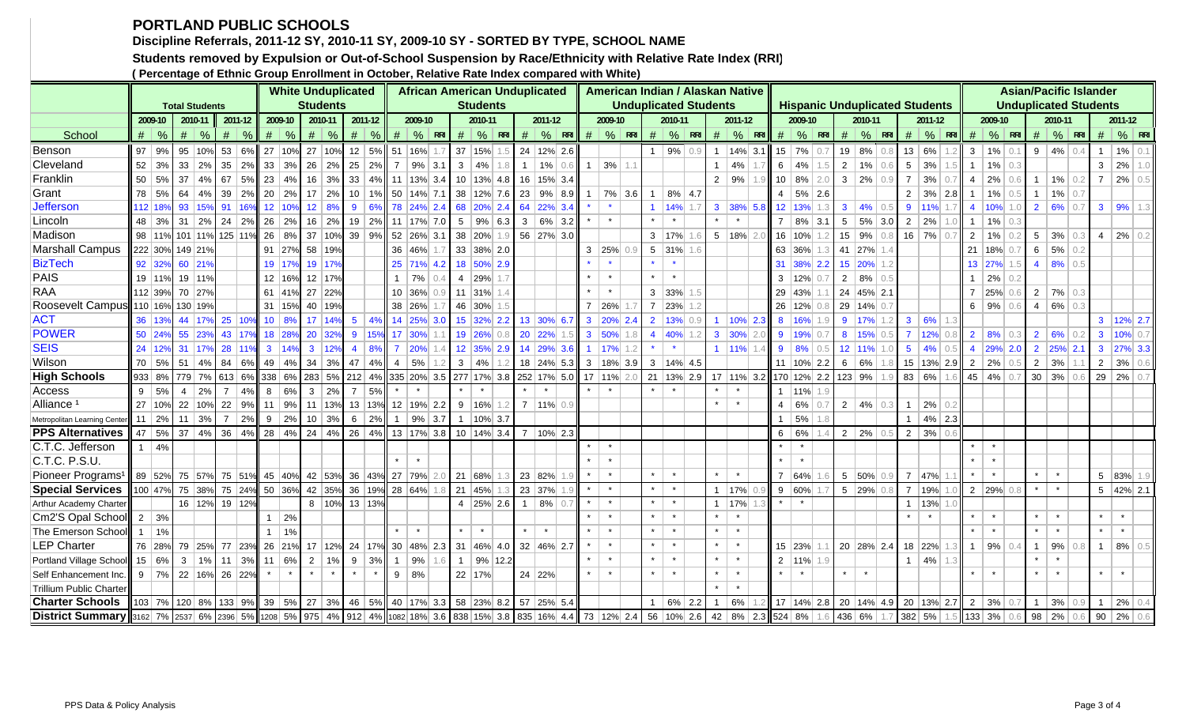## **PORTLAND PUBLIC SCHOOLS**

**Discipline Referrals, 2011-12 SY, 2010-11 SY, 2009-10 SY - SORTED BY TYPE, SCHOOL NAME**

**Students removed by Expulsion or Out-of-School Suspension by Race/Ethnicity with Relative Rate Index (RRI)**

**( Percentage of Ethnic Group Enrollment in October, Relative Rate Index compared with White)**

|                                                                                                                                        |         |                  |                                                                              |                |                   |                                    |               | <b>White Unduplicated</b>      |                 |                |            |           | <b>African American Unduplicated</b>                  |     |                |                       |     |                             |                      |                 |                  |                | American Indian / Alaskan Native |                |                     |     |         |                      |                  |         |                    |     |                                       |                      |                  |                |                       |     |                | <b>Asian/Pacific Islander</b> |     |                |                        |  |
|----------------------------------------------------------------------------------------------------------------------------------------|---------|------------------|------------------------------------------------------------------------------|----------------|-------------------|------------------------------------|---------------|--------------------------------|-----------------|----------------|------------|-----------|-------------------------------------------------------|-----|----------------|-----------------------|-----|-----------------------------|----------------------|-----------------|------------------|----------------|----------------------------------|----------------|---------------------|-----|---------|----------------------|------------------|---------|--------------------|-----|---------------------------------------|----------------------|------------------|----------------|-----------------------|-----|----------------|-------------------------------|-----|----------------|------------------------|--|
|                                                                                                                                        |         |                  | <b>Total Students</b>                                                        |                |                   |                                    |               |                                | <b>Students</b> |                |            |           |                                                       |     |                | <b>Students</b>       |     |                             |                      |                 |                  |                | <b>Unduplicated Students</b>     |                |                     |     |         |                      |                  |         |                    |     | <b>Hispanic Unduplicated Students</b> |                      |                  |                |                       |     |                | <b>Unduplicated Students</b>  |     |                |                        |  |
|                                                                                                                                        |         | 2009-10          | 2010-11                                                                      |                | $2011 - 12$       |                                    | 2009-10       |                                | 2010-11         | 2011-12        |            |           | 2009-10                                               |     |                | 2010-11               |     | 2011-12                     |                      | 2009-10         |                  |                | 2010-11                          |                | 2011-12             |     |         | 2009-10              |                  |         | 2010-11            |     |                                       | 2011-12              |                  |                | 2009-10               |     |                | 2010-11                       |     |                | 2011-12                |  |
| School                                                                                                                                 |         | $\#$ \%          | #<br>$\%$                                                                    |                | $\#$ \%           |                                    | $\#$ %        | $\#$                           | %               |                | $\#$ \%    |           | $\#$ % RRI                                            |     |                | $#  %$ RRI            |     | $\#$ % RRI                  |                      | $\#$ % RRI      |                  |                | $\#$ % RRI                       |                | $\#$ % RRI          |     |         |                      | $\#$ % RRI       |         | $\#$ % RRI         |     |                                       | $\#$ % RRI           |                  | #              | $\frac{9}{6}$ RRI     |     |                | $#$ % RRI                     |     | #              | $\frac{9}{6}$ RRI      |  |
| Benson                                                                                                                                 |         | $97$ 9%          | 95<br>10%                                                                    |                | 53 6%             |                                    |               | 27 10% 27 10% 12 5% 51 16%     |                 |                |            |           |                                                       | 1.7 |                | 37 15% 1.5            |     | 24 12% 2.6                  |                      |                 |                  |                | $1   9\%   0.9$                  | $\overline{1}$ | $14\%$ 3.1          |     |         | $15$ 7% 0.7          |                  |         | 19 8%              | 0.8 |                                       | 13 6%                |                  | $\mathbf{3}$   | $1\%$ 0.1             |     |                | $9   4\%   0.4$               |     | $\mathbf{1}$   | $1\%$ 0.1              |  |
| Cleveland                                                                                                                              |         | $52 \mid 3\%$    | $33 \mid 2\%$                                                                |                | $35 \mid 2\%$     |                                    |               | $33 \mid 3\% \mid 26$          | $ 2\% $         | $25 \mid 2\%$  |            |           | $7   9\%   3.1$                                       |     | $3   4\%  $    |                       | 1.8 | $1\%$ 0.6                   | $\overline{1}$       | $3\%$ 1.1       |                  |                |                                  | $\overline{1}$ | 4%                  |     |         | 6   4%               | 1.5              |         | $2 \mid 1\%$       | 0.6 | 5 <sup>1</sup>                        | 3%                   |                  | $\overline{1}$ | $1\%$ 0.3             |     |                |                               |     | 3 <sup>1</sup> | $2\%$ 1.0              |  |
| Franklin                                                                                                                               |         | 50 5%            | 37<br>4%                                                                     | 67             | 5%                |                                    | 23   4%       | 16                             |                 |                |            |           | $3\%$ 33 4% 11 13% 3.4                                |     |                | $10$ 13% 4.8          |     | 16   15% 3.4                |                      |                 |                  |                |                                  | 2              | $\frac{9\%}{6}$     |     |         |                      | $10   8\%   2.0$ |         | $3 2\% $           | 0.9 | $\overline{7}$                        | 3%                   | 0.7              | 4 <sup>1</sup> | $2\%$ 0.6             |     |                | $1$   1%   0.2                |     |                | $7   2\%   0.5$        |  |
| Grant                                                                                                                                  |         | 78 5%            | $64 \mid 4\%$                                                                |                | $39 \mid 2\%$     |                                    | $20 \mid 2\%$ |                                | $17 \mid 2\%$   |                |            |           | $10$   1%   50   14%   7.1   38   12%   7.6           |     |                |                       |     | $23$ 9% 8.9                 |                      | 7% 3.6          |                  |                | $8\%$ 4.7                        |                |                     |     |         | $4   5\%   2.6$      |                  |         |                    |     | $2^{\circ}$                           | $3\%$ 2.8            |                  | $\overline{1}$ | $1\%$ 0.5             |     | 1 <sup>1</sup> | $1\%$ 0.7                     |     |                |                        |  |
| <b>Jefferson</b>                                                                                                                       | 112 189 |                  | 93 15%                                                                       |                | 91 16%            |                                    | 12 10%        |                                | 12 8%           | 9 <sup>1</sup> |            |           | 6% 78 24% 2.4 68 20% 2.4                              |     |                |                       |     | 64 22% 3.4                  |                      |                 |                  |                | 14%                              | 3 <sup>1</sup> | 38% 5.8             |     |         | 12 13% 1.3           |                  |         | $3 \mid 4\%$       | 0.5 | 9 <sup>1</sup>                        | 11%                  |                  | $\overline{4}$ | $10\%$ 1.0            |     |                | $2   6\%   0.7$               |     |                | $3   9\%   1.3$        |  |
| Lincoln                                                                                                                                |         | 48 3%            | 31<br>2%                                                                     |                | $24 \mid 2\%$     |                                    | $26 \mid 2\%$ | 16                             |                 |                |            |           | $\mid$ 2%   19   2%   11   17%   7.0                  |     |                | $5 \mid 9\% \mid 6.3$ |     | $3   6\%   3.2$             |                      |                 |                  |                |                                  |                |                     |     |         |                      | $7   8\%   3.1$  |         | $5   5\%   3.0$    |     | 2                                     | 2%                   |                  | $\overline{1}$ | $1\%$ 0.3             |     |                |                               |     |                |                        |  |
| Madison                                                                                                                                |         | 98 11%           | 101 11% 125 11% 26 8%                                                        |                |                   |                                    |               |                                |                 |                |            |           | 37 10% 39 9% 52 26% 3.1                               |     |                | 38 20% 1.9            |     | 56 27% 3.0                  |                      |                 |                  |                | $3 \mid 17\%$                    |                | $5 \mid 18\%$       |     |         | 16 10% 1.2           |                  |         | $15 \mid 9\%$      | 0.8 |                                       | $16$ 7%              | $0.\overline{7}$ | 2              | $1\%$                 | 0.2 |                | $5 \mid 3\% \mid$             | 0.3 |                | $4$   2%   0.2         |  |
| <b>Marshall Campus</b>                                                                                                                 |         | 222 30%          | 149 21%                                                                      |                |                   |                                    |               | 91 27% 58 19%                  |                 |                |            | 36 46%    |                                                       |     |                | 33 38% 2.0            |     |                             |                      | $3$   25%   0.9 |                  |                | $5$ 31% 1.6                      |                |                     |     |         | 63 36% 1.3           |                  |         | 41 27% 1.4         |     |                                       |                      |                  |                | 21   18% 0.7          |     | 6 <sup>1</sup> | $5\%$ 0.2                     |     |                |                        |  |
| <b>BizTech</b>                                                                                                                         |         | 92 32%           | 60 21%                                                                       |                |                   |                                    | 19 17%        |                                | 19 17%          |                |            |           | 25 71% 4.2                                            |     |                | 18 50% 2.9            |     |                             |                      |                 |                  |                |                                  |                |                     |     |         |                      | 31 38% 2.2       |         | 15 20% 1.2         |     |                                       |                      |                  |                | 13 27% 1.5            |     |                | $4$ 8% 0.5                    |     |                |                        |  |
| <b>PAIS</b>                                                                                                                            |         | 19 11%           | 19 11%                                                                       |                |                   |                                    |               | 12 16% 12 17%                  |                 |                |            | 1   7%    |                                                       | 0.4 |                | 4 29% 1.7             |     |                             |                      |                 |                  |                |                                  |                |                     |     |         | $3$   12% 0.7        |                  |         | $2   8\%   0.5$    |     |                                       |                      |                  |                | $1 \mid 2\% \mid 0.2$ |     |                |                               |     |                |                        |  |
| <b>RAA</b>                                                                                                                             |         | 112 39%          | 70 27%                                                                       |                |                   |                                    |               | 61 41% 27 22%                  |                 |                |            |           | 10 36% 0.9                                            |     |                | $11$ 31% 1.4          |     |                             |                      |                 |                  |                | $3$ 33% 1.5                      |                |                     |     |         | 29 43% 1.1           |                  |         | 24 45% 2.1         |     |                                       |                      |                  |                | 7 25% 0.6             |     | 2              | 7% 0.3                        |     |                |                        |  |
| Roosevelt Campus 110 16%                                                                                                               |         |                  | 130 19%                                                                      |                |                   |                                    | 31   15%      |                                | 40 19%          |                |            |           | 38 26%                                                |     |                | 46 30% 1.5            |     |                             |                      | 7 26%           |                  | $\overline{7}$ | $ 23\% $ 1.2                     |                |                     |     |         | 26   12% 0.8         |                  |         | 29 14% 0.7         |     |                                       |                      |                  |                | 6   9%                | 0.6 | 4              | 6% 0.3                        |     |                |                        |  |
| <b>ACT</b>                                                                                                                             |         | 36 13%           | 44<br>17%                                                                    |                | 25 10%            |                                    | 10 8%         |                                | 17 14% 5 4%     |                |            |           | 14 25% 3.0 15 32% 2.2                                 |     |                |                       |     | 13 30% 6.7                  |                      | $3$ 20% 2.4     |                  |                | $2$   13% 0.9                    | $\overline{1}$ | 10% 2.3             |     |         | 8 16% 1.9            |                  |         | 9 17% 1.2          |     | 3 <sup>1</sup>                        | 6%                   | 1.3              |                |                       |     |                |                               |     |                | 3 12% 2.7              |  |
| <b>POWER</b>                                                                                                                           |         | 50 24%           | 55<br>23%                                                                    |                |                   | 43 17% 18 28%                      |               | 20                             | 32%             |                | $9   15\%$ |           | 17 30% 1.1                                            |     |                | 19 26% 0.8            |     | 20 22% 1.5                  |                      | 3 50% 1.8       |                  |                | $4   40\%   1.2$                 |                | $3 \times 30\%$ 2.0 |     |         | 9 19% 0.7            |                  |         | 8 15% 0.5          |     |                                       | $7$ 12% 0.8          |                  | $\vert$ 2      | $8\%$ 0.3             |     |                | $2   6\%   0.2$               |     |                | $3$ 10% 0.7            |  |
| <b>SEIS</b>                                                                                                                            |         | 24 12%           | 31 17% 28 11% 3 14%                                                          |                |                   |                                    |               |                                | $3 \mid 12\%$   | $\overline{4}$ | 8%         |           | 7 20% 1.4 12 35% 2.9                                  |     |                |                       |     | 14 29% 3.6                  | $\blacktriangleleft$ | $17%$ 1.2       |                  |                | $\mathcal{H}^{\pm}$ .            |                | 1   11%             |     |         | $9   8\%   0.5$      |                  |         | 12 11% 1.0         |     | 5 <sup>1</sup>                        | 4%                   | 0.5              |                |                       |     |                | 4 29% 2.0 2 25% 2.1           |     |                | $3$ 27% 3.3            |  |
| Wilson                                                                                                                                 |         | 70 5%            |                                                                              |                |                   |                                    |               |                                |                 | 47   4%        |            | 4   5%    |                                                       | 12  | $3 \mid 4\%$   |                       | 1.2 | 18 24% 5.3                  |                      |                 | $3   18\%   3.9$ |                | $3   14\%   4.5$                 |                |                     |     |         |                      | 11 10% 2.2       |         | 6   6%             |     |                                       |                      | 15 13% 2.9       |                | $2 \mid 2\%$          | 0.5 | $2 \mid 3\%$   |                               |     |                | $2 \mid 3\% \mid 0.6$  |  |
| <b>High Schools</b>                                                                                                                    |         |                  | 933 8% 779 7% 613 6% 38 6% 283 5% 212 4% 335 20% 3.5 277 17% 3.8 252 17% 5.0 |                |                   |                                    |               |                                |                 |                |            |           |                                                       |     |                |                       |     |                             | 17 11% 2.0           |                 |                  |                | 21 13% 2.9 17 11% 3.2            |                |                     |     |         |                      |                  |         | 170 12% 2.2 123 9% |     | 83 6%                                 |                      |                  |                | $45 \,   \, 4\%$      |     | 30 3%          |                               |     | 29   2%        |                        |  |
| Access                                                                                                                                 |         | $9 \mid 5\%$     | $\overline{4}$<br>2%                                                         | 7 <sup>1</sup> | 4%                |                                    | $8   6\%  $   |                                | $3 \mid 2\%$    | $\overline{7}$ | 5%         |           |                                                       |     |                |                       |     |                             |                      |                 |                  |                |                                  |                |                     |     |         | $1 \vert 11\% \vert$ |                  |         |                    |     |                                       |                      |                  |                |                       |     |                |                               |     |                |                        |  |
| Alliance <sup>1</sup>                                                                                                                  |         |                  | 27 10% 22 10% 22 9% 11 9% 11 13% 13 13% 12 19% 2.2 9 16% 1.2                 |                |                   |                                    |               |                                |                 |                |            |           |                                                       |     |                |                       |     | $7$ 11% 0.9                 |                      |                 |                  |                |                                  | $\star$        | $\star$             |     |         | $4   6\%  $          | 0.7              |         | $2 \mid 4\%$       | 0.3 | $\mathbf{1}$                          | $2\%$ 0.2            |                  |                |                       |     |                |                               |     |                |                        |  |
| Metropolitan Learning Center                                                                                                           |         | $11 \mid 2\%$    | $11 \mid 3\%$                                                                |                | $7 \mid 2\% \mid$ |                                    |               | $9   2\%   10   3\%   6   2\%$ |                 |                |            |           | $1   9\%   3.7$                                       |     |                | $1   10\%   3.7$      |     |                             |                      |                 |                  |                |                                  |                |                     |     |         | 5%                   |                  |         |                    |     | 1 <sup>1</sup>                        | $4\%$ 2.3            |                  |                |                       |     |                |                               |     |                |                        |  |
| <b>PPS Alternatives</b>                                                                                                                |         | $47 \,   \, 5\%$ | 37 4% 36 4% 28 4% 24 4% 26 4% 13 17% 3.8 10 14% 3.4                          |                |                   |                                    |               |                                |                 |                |            |           |                                                       |     |                |                       |     | 7 10% 2.3                   |                      |                 |                  |                |                                  |                |                     |     |         | 6   6%               |                  |         | $2 \mid 2\%$       |     |                                       | $2 \mid 3\%$         |                  |                |                       |     |                |                               |     |                |                        |  |
| C.T.C. Jefferson                                                                                                                       |         | $1 \mid 4\%$     |                                                                              |                |                   |                                    |               |                                |                 |                |            |           |                                                       |     |                |                       |     |                             |                      |                 |                  |                |                                  |                |                     |     |         |                      |                  |         |                    |     |                                       |                      |                  |                |                       |     |                |                               |     |                |                        |  |
| C.T.C. P.S.U.                                                                                                                          |         |                  |                                                                              |                |                   |                                    |               |                                |                 |                |            |           |                                                       |     |                |                       |     |                             | $\star$              |                 |                  |                |                                  |                |                     |     | $\star$ |                      |                  |         |                    |     |                                       |                      |                  |                |                       |     |                |                               |     |                |                        |  |
| Pioneer Programs <sup>1</sup>                                                                                                          |         | 89 52%           | 75 57%                                                                       |                | 75 51%            |                                    |               | 45 40% 42 53% 36 43% 27 79%    |                 |                |            |           |                                                       |     | 21 68%         |                       |     | 23 82%                      |                      |                 |                  |                |                                  | $\star$        | $\star$             |     |         | 7 64%                |                  |         | $5 50\% $          |     |                                       | 7 47%                |                  |                |                       |     |                | $\star$                       |     |                | $5   83\%   1.9$       |  |
| <b>Special Services</b>                                                                                                                |         | 100 47%          | 75 38%                                                                       |                |                   | 75 24% 50 36% 42 35% 36 19% 28 64% |               |                                |                 |                |            |           |                                                       |     | 21 45%         |                       |     | 23 37%                      | $\star$              | $\star$         |                  | $\star$        |                                  | $\overline{1}$ | 17%                 |     |         | $9   60\%  $         |                  |         | $5 \mid 29\%$      |     |                                       | 7   19%              |                  |                | $2 29\% $             |     |                |                               |     |                | $5 \mid 42\% \mid 2.1$ |  |
| Arthur Academy Charter                                                                                                                 |         |                  | 16 12%                                                                       |                | 19 12%            |                                    |               |                                | 8 10% 13 13%    |                |            |           |                                                       |     |                | $4$   25%   2.6       |     | $1 \,   \, 8\% \,   \, 0.7$ |                      |                 |                  |                |                                  | $\mathbf{1}$   | 17%                 |     |         |                      |                  |         |                    |     |                                       | $1 \vert 13\% \vert$ |                  |                |                       |     |                |                               |     |                |                        |  |
| Cm2'S Opal School                                                                                                                      |         | $2 \mid 3\%$     |                                                                              |                |                   |                                    | $1 \mid 2\%$  |                                |                 |                |            |           |                                                       |     |                |                       |     |                             |                      |                 |                  |                |                                  |                |                     |     |         |                      |                  |         |                    |     |                                       |                      |                  |                |                       |     |                |                               |     |                |                        |  |
| The Emerson School                                                                                                                     |         | 1%               |                                                                              |                |                   | $\mathbf{1}$                       | 1%            |                                |                 |                |            |           |                                                       |     |                |                       |     |                             |                      |                 |                  |                |                                  |                |                     |     |         |                      |                  |         |                    |     |                                       |                      |                  |                |                       |     |                |                               |     |                | $\star$                |  |
| <b>LEP Charter</b>                                                                                                                     |         | 76 28%           | 79                                                                           |                |                   |                                    |               |                                |                 |                |            |           | 25% 77 23% 26 21% 17 12% 24 17% 30 48% 2.3 31 46% 4.0 |     |                |                       |     | 32 46% 2.7                  |                      |                 |                  |                |                                  |                |                     |     |         | 15 23%               |                  |         | 20 28% 2.4         |     |                                       | 18 22%               |                  | $\overline{1}$ | 9%                    | 0.4 | $\mathbf{1}$   | 9%                            | 0.8 | $\mathbf{1}$   | 8%                     |  |
| Portland Village School                                                                                                                |         | 15 6%            | 1%<br>$\mathbf{3}$                                                           |                | $11 \mid 3\%$     |                                    | 11   6%       | $\overline{2}$                 | 1%              | 9              | 3%         | $1 \ 9\%$ |                                                       |     | $\overline{1}$ | $9%$ 12.2             |     |                             |                      |                 |                  |                |                                  |                |                     |     |         | $2$   11%   1.9      |                  |         |                    |     | 1 <sup>1</sup>                        | 4%                   |                  |                |                       |     |                |                               |     |                |                        |  |
| Self Enhancement Inc.                                                                                                                  |         | $9 \mid 7\%$     | 22 16% 26 22%                                                                |                |                   |                                    |               |                                |                 |                |            | 9   8%    |                                                       |     | 22 17%         |                       |     | 24 22%                      |                      |                 |                  |                |                                  | $\star$        |                     |     |         |                      |                  | $\star$ |                    |     |                                       |                      |                  |                |                       |     |                |                               |     |                |                        |  |
| <b>Trillium Public Charter</b>                                                                                                         |         |                  |                                                                              |                |                   |                                    |               |                                |                 |                |            |           |                                                       |     |                |                       |     |                             |                      |                 |                  |                |                                  | $\star$        | $\star$             |     |         |                      |                  |         |                    |     |                                       |                      |                  |                |                       |     |                |                               |     |                |                        |  |
| <b>Charter Schools</b>                                                                                                                 |         |                  | 103 7% 120 8% 133 9% 39 5% 27 3% 46 5% 40 17% 3.3 58 23% 8.2 57 25% 5.4      |                |                   |                                    |               |                                |                 |                |            |           |                                                       |     |                |                       |     |                             |                      |                 |                  |                | $6\%$ 2.2                        | $\overline{1}$ | 6%                  |     |         |                      | 17   14%   2.8   |         |                    |     | 20 14% 4.9 20 13% 2.7                 |                      |                  | $2 \mid 3\%$   |                       |     |                | 3%                            |     |                | 2%                     |  |
| <b>District Summary</b> 3162 7% 2537 6% 2396 5% 1208 5% 975 4% 912 4% 1082 18% 3.6 838 15% 3.8 835 16% 4.4 73 12% 2.4 56 10% 2.6 42 8% |         |                  |                                                                              |                |                   |                                    |               |                                |                 |                |            |           |                                                       |     |                |                       |     |                             |                      |                 |                  |                |                                  |                |                     | 2.3 | 524 8%  |                      |                  |         | 436 6%             |     | 382 5%                                |                      |                  |                | $133$ 3%              | 0.6 | 98   2%        |                               |     | 90   2%        |                        |  |